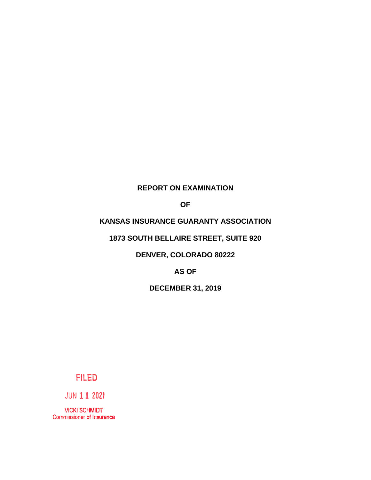## **REPORT ON EXAMINATION**

**OF**

# **KANSAS INSURANCE GUARANTY ASSOCIATION**

# **1873 SOUTH BELLAIRE STREET, SUITE 920**

# **DENVER, COLORADO 80222**

**AS OF**

**DECEMBER 31, 2019**

# **FILED**

JUN **11 2021** 

VICKI SCHMIDT Commissioner of Insurance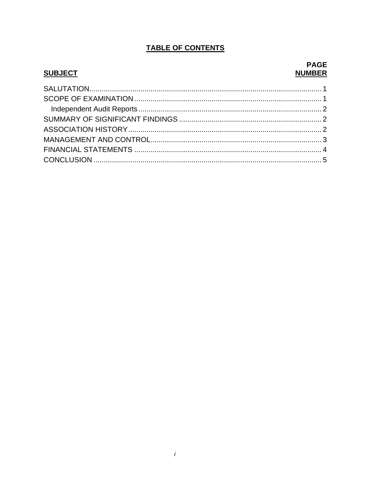# **TABLE OF CONTENTS**

## **SUBJECT**

## **PAGE NUMBER**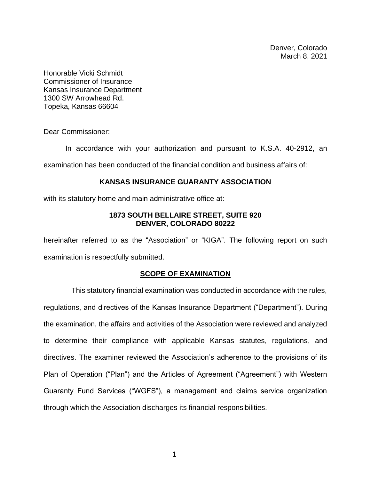Denver, Colorado March 8, 2021

Honorable Vicki Schmidt Commissioner of Insurance Kansas Insurance Department 1300 SW Arrowhead Rd. Topeka, Kansas 66604

Dear Commissioner:

In accordance with your authorization and pursuant to K.S.A. 40-2912, an examination has been conducted of the financial condition and business affairs of:

#### **KANSAS INSURANCE GUARANTY ASSOCIATION**

with its statutory home and main administrative office at:

### **1873 SOUTH BELLAIRE STREET, SUITE 920 DENVER, COLORADO 80222**

hereinafter referred to as the "Association" or "KIGA". The following report on such examination is respectfully submitted.

### **SCOPE OF EXAMINATION**

 This statutory financial examination was conducted in accordance with the rules, regulations, and directives of the Kansas Insurance Department ("Department"). During the examination, the affairs and activities of the Association were reviewed and analyzed to determine their compliance with applicable Kansas statutes, regulations, and directives. The examiner reviewed the Association's adherence to the provisions of its Plan of Operation ("Plan") and the Articles of Agreement ("Agreement") with Western Guaranty Fund Services ("WGFS"), a management and claims service organization through which the Association discharges its financial responsibilities.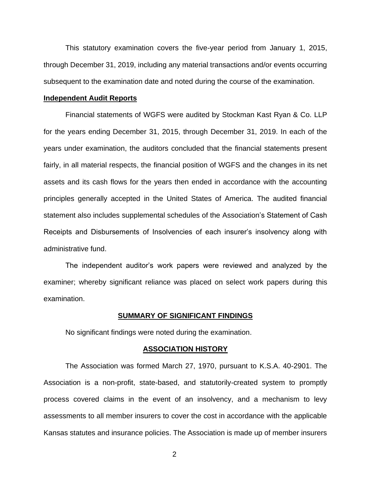This statutory examination covers the five-year period from January 1, 2015, through December 31, 2019, including any material transactions and/or events occurring subsequent to the examination date and noted during the course of the examination.

#### **Independent Audit Reports**

Financial statements of WGFS were audited by Stockman Kast Ryan & Co. LLP for the years ending December 31, 2015, through December 31, 2019. In each of the years under examination, the auditors concluded that the financial statements present fairly, in all material respects, the financial position of WGFS and the changes in its net assets and its cash flows for the years then ended in accordance with the accounting principles generally accepted in the United States of America. The audited financial statement also includes supplemental schedules of the Association's Statement of Cash Receipts and Disbursements of Insolvencies of each insurer's insolvency along with administrative fund.

The independent auditor's work papers were reviewed and analyzed by the examiner; whereby significant reliance was placed on select work papers during this examination.

#### **SUMMARY OF SIGNIFICANT FINDINGS**

No significant findings were noted during the examination.

#### **ASSOCIATION HISTORY**

The Association was formed March 27, 1970, pursuant to K.S.A. 40-2901. The Association is a non-profit, state-based, and statutorily-created system to promptly process covered claims in the event of an insolvency, and a mechanism to levy assessments to all member insurers to cover the cost in accordance with the applicable Kansas statutes and insurance policies. The Association is made up of member insurers

2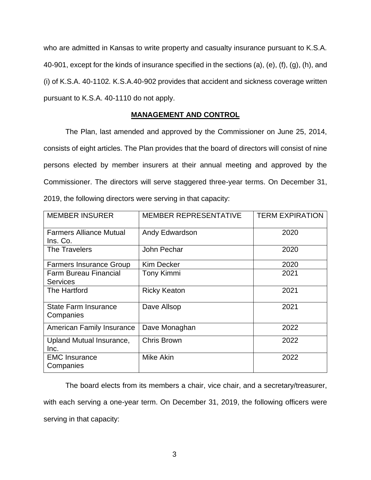who are admitted in Kansas to write property and casualty insurance pursuant to K.S.A. 40-901, except for the kinds of insurance specified in the sections (a), (e), (f), (g), (h), and (i) of K.S.A. 40-1102*.* K.S.A.40-902 provides that accident and sickness coverage written pursuant to K.S.A. 40-1110 do not apply.

## **MANAGEMENT AND CONTROL**

The Plan, last amended and approved by the Commissioner on June 25, 2014, consists of eight articles. The Plan provides that the board of directors will consist of nine persons elected by member insurers at their annual meeting and approved by the Commissioner. The directors will serve staggered three-year terms. On December 31, 2019, the following directors were serving in that capacity:

| <b>MEMBER INSURER</b>                           | MEMBER REPRESENTATIVE | <b>TERM EXPIRATION</b> |  |
|-------------------------------------------------|-----------------------|------------------------|--|
| <b>Farmers Alliance Mutual</b><br>Ins. Co.      | Andy Edwardson        | 2020                   |  |
| The Travelers                                   | John Pechar           | 2020                   |  |
| <b>Farmers Insurance Group</b>                  | <b>Kim Decker</b>     | 2020                   |  |
| <b>Farm Bureau Financial</b><br><b>Services</b> | Tony Kimmi            | 2021                   |  |
| The Hartford                                    | <b>Ricky Keaton</b>   | 2021                   |  |
| <b>State Farm Insurance</b><br>Companies        | Dave Allsop           | 2021                   |  |
| <b>American Family Insurance</b>                | Dave Monaghan         | 2022                   |  |
| Upland Mutual Insurance,<br>Inc.                | <b>Chris Brown</b>    | 2022                   |  |
| <b>EMC</b> Insurance<br>Companies               | <b>Mike Akin</b>      | 2022                   |  |

The board elects from its members a chair, vice chair, and a secretary/treasurer, with each serving a one-year term. On December 31, 2019, the following officers were serving in that capacity: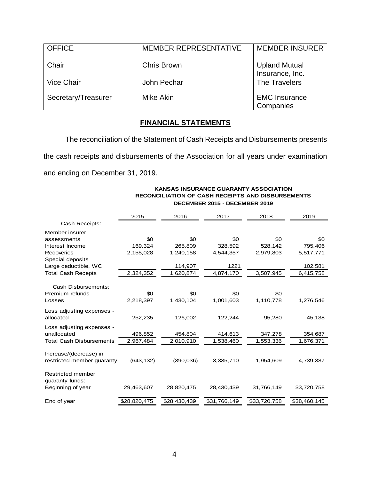| <b>OFFICE</b>       | <b>MEMBER REPRESENTATIVE</b> | <b>MEMBER INSURER</b>                   |
|---------------------|------------------------------|-----------------------------------------|
| Chair               | Chris Brown                  | <b>Upland Mutual</b><br>Insurance, Inc. |
| <b>Vice Chair</b>   | John Pechar                  | The Travelers                           |
| Secretary/Treasurer | Mike Akin                    | <b>EMC Insurance</b><br>Companies       |

## **FINANCIAL STATEMENTS**

The reconciliation of the Statement of Cash Receipts and Disbursements presents the cash receipts and disbursements of the Association for all years under examination and ending on December 31, 2019.

|                            | 2015         | 2016         | 2017         | 2018         | 2019         |
|----------------------------|--------------|--------------|--------------|--------------|--------------|
| Cash Receipts:             |              |              |              |              |              |
| Member insurer             |              |              |              |              |              |
| assessments                | \$0          | \$0          | \$0          | \$0          | \$0          |
| Interest Income            | 169,324      | 265,809      | 328,592      | 528,142      | 795,406      |
| <b>Recoveries</b>          | 2,155,028    | 1,240,158    | 4,544,357    | 2,979,803    | 5,517,771    |
| Special deposits           |              |              |              |              |              |
| Large deductible, WC       |              | 114,907      | 1221         |              | 102,581      |
| <b>Total Cash Recepts</b>  | 2,324,352    | 1,620,874    | 4,874,170    | 3,507,945    | 6,415,758    |
|                            |              |              |              |              |              |
| Cash Disbursements:        |              |              |              |              |              |
| Premium refunds            | \$0          | \$0          | \$0          | \$0          |              |
| Losses                     | 2,218,397    | 1,430,104    | 1,001,603    | 1,110,778    | 1,276,546    |
| Loss adjusting expenses -  |              |              |              |              |              |
| allocated                  | 252,235      | 126,002      | 122,244      | 95,280       | 45,138       |
| Loss adjusting expenses -  |              |              |              |              |              |
| unallocated                | 496,852      | 454,804      | 414,613      | 347,278      | 354,687      |
| Total Cash Disbursements   | 2,967,484    | 2,010,910    | 1,538,460    | 1,553,336    | 1,676,371    |
|                            |              |              |              |              |              |
| Increase/(decrease) in     |              |              |              |              |              |
| restricted member guaranty | (643, 132)   | (390, 036)   | 3,335,710    | 1,954,609    | 4,739,387    |
|                            |              |              |              |              |              |
| <b>Restricted member</b>   |              |              |              |              |              |
| guaranty funds:            |              |              |              |              |              |
| Beginning of year          | 29,463,607   | 28,820,475   | 28,430,439   | 31,766,149   | 33,720,758   |
|                            |              |              |              |              |              |
| End of year                | \$28,820,475 | \$28,430,439 | \$31,766,149 | \$33,720,758 | \$38,460,145 |

#### **KANSAS INSURANCE GUARANTY ASSOCIATION RECONCILIATION OF CASH RECEIPTS AND DISBURSEMENTS DECEMBER 2015 - DECEMBER 2019**